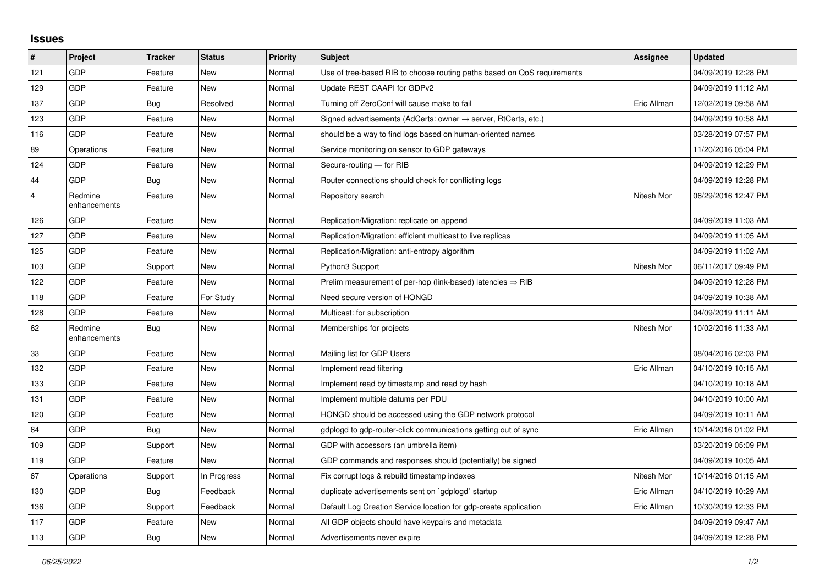## **Issues**

| #              | Project                 | <b>Tracker</b> | <b>Status</b> | <b>Priority</b> | <b>Subject</b>                                                          | Assignee    | <b>Updated</b>      |
|----------------|-------------------------|----------------|---------------|-----------------|-------------------------------------------------------------------------|-------------|---------------------|
| 121            | GDP                     | Feature        | <b>New</b>    | Normal          | Use of tree-based RIB to choose routing paths based on QoS requirements |             | 04/09/2019 12:28 PM |
| 129            | GDP                     | Feature        | New           | Normal          | Update REST CAAPI for GDPv2                                             |             | 04/09/2019 11:12 AM |
| 137            | GDP                     | Bug            | Resolved      | Normal          | Turning off ZeroConf will cause make to fail                            | Eric Allman | 12/02/2019 09:58 AM |
| 123            | GDP                     | Feature        | <b>New</b>    | Normal          | Signed advertisements (AdCerts: owner → server, RtCerts, etc.)          |             | 04/09/2019 10:58 AM |
| 116            | GDP                     | Feature        | <b>New</b>    | Normal          | should be a way to find logs based on human-oriented names              |             | 03/28/2019 07:57 PM |
| 89             | Operations              | Feature        | New           | Normal          | Service monitoring on sensor to GDP gateways                            |             | 11/20/2016 05:04 PM |
| 124            | <b>GDP</b>              | Feature        | New           | Normal          | Secure-routing - for RIB                                                |             | 04/09/2019 12:29 PM |
| 44             | GDP                     | Bug            | <b>New</b>    | Normal          | Router connections should check for conflicting logs                    |             | 04/09/2019 12:28 PM |
| $\overline{4}$ | Redmine<br>enhancements | Feature        | New           | Normal          | Repository search                                                       | Nitesh Mor  | 06/29/2016 12:47 PM |
| 126            | GDP                     | Feature        | <b>New</b>    | Normal          | Replication/Migration: replicate on append                              |             | 04/09/2019 11:03 AM |
| 127            | GDP                     | Feature        | <b>New</b>    | Normal          | Replication/Migration: efficient multicast to live replicas             |             | 04/09/2019 11:05 AM |
| 125            | GDP                     | Feature        | <b>New</b>    | Normal          | Replication/Migration: anti-entropy algorithm                           |             | 04/09/2019 11:02 AM |
| 103            | GDP                     | Support        | New           | Normal          | Python3 Support                                                         | Nitesh Mor  | 06/11/2017 09:49 PM |
| 122            | GDP                     | Feature        | <b>New</b>    | Normal          | Prelim measurement of per-hop (link-based) latencies $\Rightarrow$ RIB  |             | 04/09/2019 12:28 PM |
| 118            | GDP                     | Feature        | For Study     | Normal          | Need secure version of HONGD                                            |             | 04/09/2019 10:38 AM |
| 128            | GDP                     | Feature        | New           | Normal          | Multicast: for subscription                                             |             | 04/09/2019 11:11 AM |
| 62             | Redmine<br>enhancements | <b>Bug</b>     | <b>New</b>    | Normal          | Memberships for projects                                                | Nitesh Mor  | 10/02/2016 11:33 AM |
| 33             | GDP                     | Feature        | New           | Normal          | Mailing list for GDP Users                                              |             | 08/04/2016 02:03 PM |
| 132            | GDP                     | Feature        | New           | Normal          | Implement read filtering                                                | Eric Allman | 04/10/2019 10:15 AM |
| 133            | GDP                     | Feature        | New           | Normal          | Implement read by timestamp and read by hash                            |             | 04/10/2019 10:18 AM |
| 131            | GDP                     | Feature        | New           | Normal          | Implement multiple datums per PDU                                       |             | 04/10/2019 10:00 AM |
| 120            | GDP                     | Feature        | New           | Normal          | HONGD should be accessed using the GDP network protocol                 |             | 04/09/2019 10:11 AM |
| 64             | GDP                     | Bug            | <b>New</b>    | Normal          | gdplogd to gdp-router-click communications getting out of sync          | Eric Allman | 10/14/2016 01:02 PM |
| 109            | GDP                     | Support        | <b>New</b>    | Normal          | GDP with accessors (an umbrella item)                                   |             | 03/20/2019 05:09 PM |
| 119            | GDP                     | Feature        | New           | Normal          | GDP commands and responses should (potentially) be signed               |             | 04/09/2019 10:05 AM |
| 67             | Operations              | Support        | In Progress   | Normal          | Fix corrupt logs & rebuild timestamp indexes                            | Nitesh Mor  | 10/14/2016 01:15 AM |
| 130            | GDP                     | <b>Bug</b>     | Feedback      | Normal          | duplicate advertisements sent on `gdplogd` startup                      | Eric Allman | 04/10/2019 10:29 AM |
| 136            | GDP                     | Support        | Feedback      | Normal          | Default Log Creation Service location for gdp-create application        | Eric Allman | 10/30/2019 12:33 PM |
| 117            | GDP                     | Feature        | New           | Normal          | All GDP objects should have keypairs and metadata                       |             | 04/09/2019 09:47 AM |
| 113            | GDP                     | <b>Bug</b>     | <b>New</b>    | Normal          | Advertisements never expire                                             |             | 04/09/2019 12:28 PM |